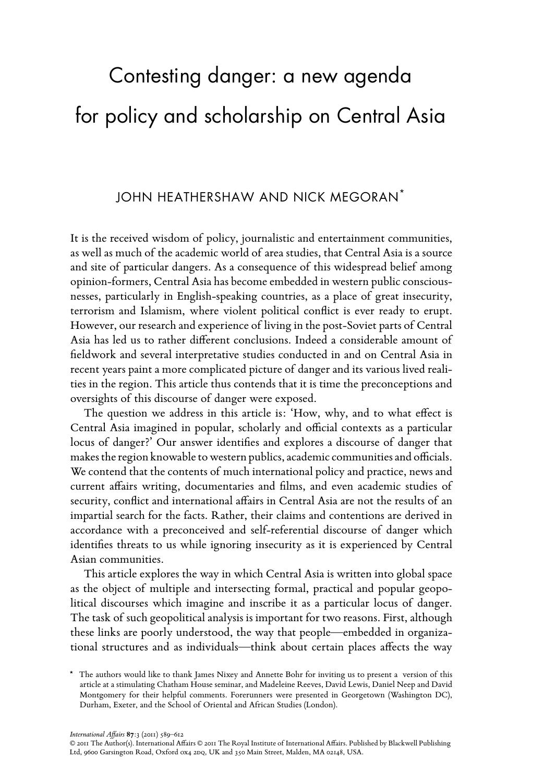# Contesting danger: a new agenda for policy and scholarship on Central Asia

# JOHN HEATHERSHAW AND NICK MEGORAN\*

It is the received wisdom of policy, journalistic and entertainment communities, as well as much of the academic world of area studies, that Central Asia is a source and site of particular dangers. As a consequence of this widespread belief among opinion-formers, Central Asia has become embedded in western public consciousnesses, particularly in English-speaking countries, as a place of great insecurity, terrorism and Islamism, where violent political conflict is ever ready to erupt. However, our research and experience of living in the post-Soviet parts of Central Asia has led us to rather different conclusions. Indeed a considerable amount of fieldwork and several interpretative studies conducted in and on Central Asia in recent years paint a more complicated picture of danger and its various lived realities in the region. This article thus contends that it is time the preconceptions and oversights of this discourse of danger were exposed.

The question we address in this article is: 'How, why, and to what effect is Central Asia imagined in popular, scholarly and official contexts as a particular locus of danger?' Our answer identifies and explores a discourse of danger that makes the region knowable to western publics, academic communities and officials. We contend that the contents of much international policy and practice, news and current affairs writing, documentaries and films, and even academic studies of security, conflict and international affairs in Central Asia are not the results of an impartial search for the facts. Rather, their claims and contentions are derived in accordance with a preconceived and self-referential discourse of danger which identifies threats to us while ignoring insecurity as it is experienced by Central Asian communities.

This article explores the way in which Central Asia is written into global space as the object of multiple and intersecting formal, practical and popular geopolitical discourses which imagine and inscribe it as a particular locus of danger. The task of such geopolitical analysis is important for two reasons. First, although these links are poorly understood, the way that people—embedded in organizational structures and as individuals—think about certain places affects the way

*International Affairs* **87**:3 (2011) 589–612

<sup>\*</sup> The authors would like to thank James Nixey and Annette Bohr for inviting us to present a version of this article at a stimulating Chatham House seminar, and Madeleine Reeves, David Lewis, Daniel Neep and David Montgomery for their helpful comments. Forerunners were presented in Georgetown (Washington DC), Durham, Exeter, and the School of Oriental and African Studies (London).

<sup>© 2011</sup> The Author(s). International Affairs © 2011 The Royal Institute of International Affairs. Published by Blackwell Publishing Ltd, 9600 Garsington Road, Oxford 0x4 2DQ, UK and 350 Main Street, Malden, MA 02148, USA.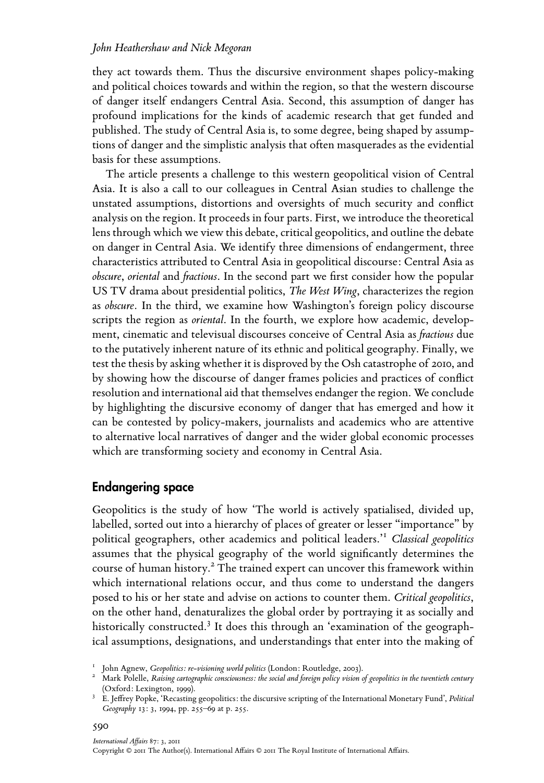they act towards them. Thus the discursive environment shapes policy-making and political choices towards and within the region, so that the western discourse of danger itself endangers Central Asia. Second, this assumption of danger has profound implications for the kinds of academic research that get funded and published. The study of Central Asia is, to some degree, being shaped by assumptions of danger and the simplistic analysis that often masquerades as the evidential basis for these assumptions.

The article presents a challenge to this western geopolitical vision of Central Asia. It is also a call to our colleagues in Central Asian studies to challenge the unstated assumptions, distortions and oversights of much security and conflict analysis on the region. It proceeds in four parts. First, we introduce the theoretical lens through which we view this debate, critical geopolitics, and outline the debate on danger in Central Asia. We identify three dimensions of endangerment, three characteristics attributed to Central Asia in geopolitical discourse: Central Asia as *obscure*, *oriental* and *fractious*. In the second part we first consider how the popular US TV drama about presidential politics, *The West Wing*, characterizes the region as *obscure.* In the third, we examine how Washington's foreign policy discourse scripts the region as *oriental*. In the fourth, we explore how academic, development, cinematic and televisual discourses conceive of Central Asia as *fractious* due to the putatively inherent nature of its ethnic and political geography. Finally, we test the thesis by asking whether it is disproved by the Osh catastrophe of 2010, and by showing how the discourse of danger frames policies and practices of conflict resolution and international aid that themselves endanger the region. We conclude by highlighting the discursive economy of danger that has emerged and how it can be contested by policy-makers, journalists and academics who are attentive to alternative local narratives of danger and the wider global economic processes which are transforming society and economy in Central Asia.

# Endangering space

590

Geopolitics is the study of how 'The world is actively spatialised, divided up, labelled, sorted out into a hierarchy of places of greater or lesser "importance" by political geographers, other academics and political leaders.'1 *Classical geopolitics* assumes that the physical geography of the world significantly determines the course of human history.<sup>2</sup> The trained expert can uncover this framework within which international relations occur, and thus come to understand the dangers posed to his or her state and advise on actions to counter them. *Critical geopolitics*, on the other hand, denaturalizes the global order by portraying it as socially and historically constructed.<sup>3</sup> It does this through an 'examination of the geographical assumptions, designations, and understandings that enter into the making of

<sup>1</sup> John Agnew, *Geopolitics: re-visioning world politics* (London: Routledge, 2003). <sup>2</sup> Mark Polelle, *Raising cartographic consciousness: the social and foreign policy vision of geopolitics in the twentieth century* (Oxford: Lexington, 1999). <sup>3</sup> E. Jeffrey Popke, 'Recasting geopolitics: the discursive scripting of the International Monetary Fund', *Political* 

*Geography* 13: 3, 1994, pp. 255–69 at p. 255.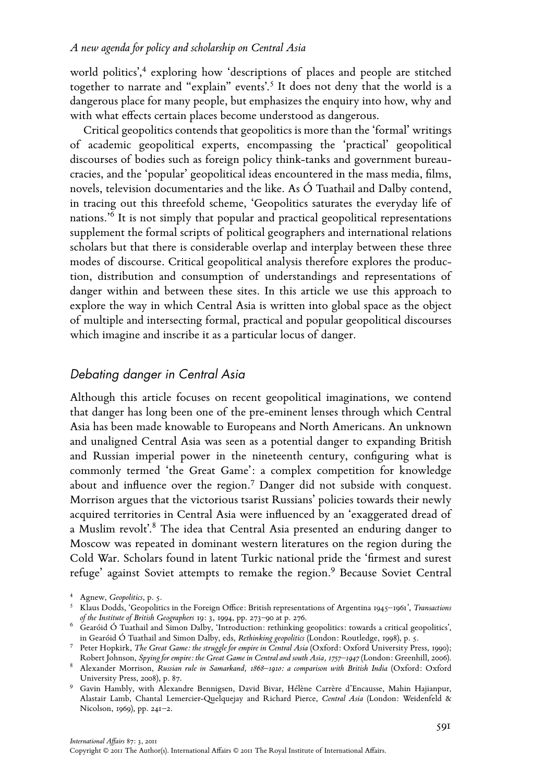world politics',<sup>4</sup> exploring how 'descriptions of places and people are stitched together to narrate and "explain" events'.<sup>5</sup> It does not deny that the world is a dangerous place for many people, but emphasizes the enquiry into how, why and with what effects certain places become understood as dangerous.

Critical geopolitics contends that geopolitics is more than the 'formal' writings of academic geopolitical experts, encompassing the 'practical' geopolitical discourses of bodies such as foreign policy think-tanks and government bureaucracies, and the 'popular' geopolitical ideas encountered in the mass media, films, novels, television documentaries and the like. As Ó Tuathail and Dalby contend, in tracing out this threefold scheme, 'Geopolitics saturates the everyday life of nations.'<sup>6</sup> It is not simply that popular and practical geopolitical representations supplement the formal scripts of political geographers and international relations scholars but that there is considerable overlap and interplay between these three modes of discourse. Critical geopolitical analysis therefore explores the production, distribution and consumption of understandings and representations of danger within and between these sites. In this article we use this approach to explore the way in which Central Asia is written into global space as the object of multiple and intersecting formal, practical and popular geopolitical discourses which imagine and inscribe it as a particular locus of danger.

# *Debating danger in Central Asia*

Although this article focuses on recent geopolitical imaginations, we contend that danger has long been one of the pre-eminent lenses through which Central Asia has been made knowable to Europeans and North Americans. An unknown and unaligned Central Asia was seen as a potential danger to expanding British and Russian imperial power in the nineteenth century, configuring what is commonly termed 'the Great Game': a complex competition for knowledge about and influence over the region.7 Danger did not subside with conquest. Morrison argues that the victorious tsarist Russians' policies towards their newly acquired territories in Central Asia were influenced by an 'exaggerated dread of a Muslim revolt'.<sup>8</sup> The idea that Central Asia presented an enduring danger to Moscow was repeated in dominant western literatures on the region during the Cold War. Scholars found in latent Turkic national pride the 'firmest and surest refuge' against Soviet attempts to remake the region.<sup>9</sup> Because Soviet Central

<sup>&</sup>lt;sup>4</sup> Agnew, *Geopolitics*, p. 5.<br><sup>5</sup> Klaus Dodds, 'Geopolitics in the Foreign Office: British representations of Argentina 1945–1961', *Transactions* 

*of the Institute of British Geographers* 19: 3, 1994, pp. 273–90 at p. 276.<br><sup>6</sup> Gearóid Ó Tuathail and Simon Dalby, 'Introduction: rethinking geopolitics: towards a critical geopolitics',<br>in Gearóid Ó Tuathail and Simon D

<sup>7</sup> Peter Hopkirk, The Great Game: the struggle for empire in Central Asia (Oxford: Oxford University Press, 1990);<br>Robert Johnson, *Spying for empire: the Great Game in Central and south Asia, 1757–1947* (London: Greenhill,

<sup>8</sup> Alexander Morrison, Russian rule in Samarkand, 1868-1910: a comparison with British India (Oxford: Oxford University Press, 2008), p. 87.<br>9 Gavin Hambly, with Alexandre Bennigsen, David Bivar, Hélène Carrère d'Encausse, Mahin Hajianpur,

Alastair Lamb, Chantal Lemercier-Quelquejay and Richard Pierce, *Central Asia* (London: Weidenfeld & Nicolson, 1969), pp. 241–2.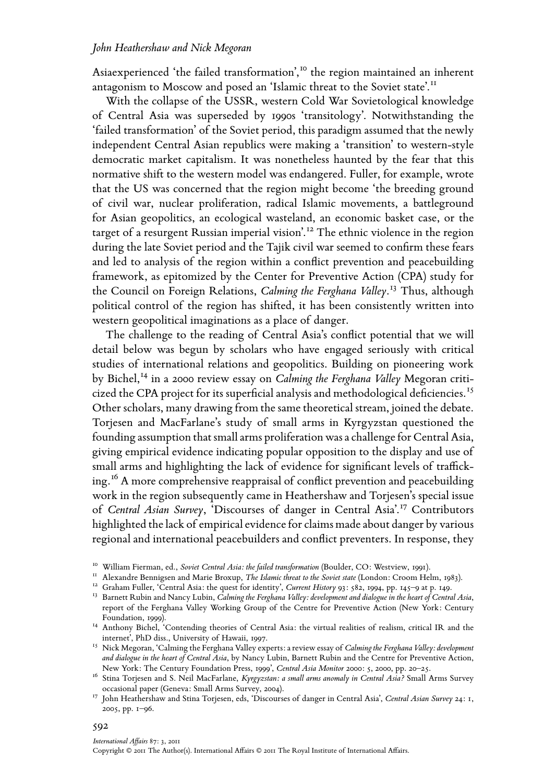Asiaexperienced 'the failed transformation',<sup>10</sup> the region maintained an inherent antagonism to Moscow and posed an 'Islamic threat to the Soviet state'.<sup>11</sup>

With the collapse of the USSR, western Cold War Sovietological knowledge of Central Asia was superseded by 1990s 'transitology'. Notwithstanding the 'failed transformation' of the Soviet period, this paradigm assumed that the newly independent Central Asian republics were making a 'transition' to western-style democratic market capitalism. It was nonetheless haunted by the fear that this normative shift to the western model was endangered. Fuller, for example, wrote that the US was concerned that the region might become 'the breeding ground of civil war, nuclear proliferation, radical Islamic movements, a battleground for Asian geopolitics, an ecological wasteland, an economic basket case, or the target of a resurgent Russian imperial vision'.12 The ethnic violence in the region during the late Soviet period and the Tajik civil war seemed to confirm these fears and led to analysis of the region within a conflict prevention and peacebuilding framework, as epitomized by the Center for Preventive Action (CPA) study for the Council on Foreign Relations, *Calming the Ferghana Valley*. 13 Thus, although political control of the region has shifted, it has been consistently written into western geopolitical imaginations as a place of danger.

The challenge to the reading of Central Asia's conflict potential that we will detail below was begun by scholars who have engaged seriously with critical studies of international relations and geopolitics. Building on pioneering work by Bichel,14 in a 2000 review essay on *Calming the Ferghana Valley* Megoran criticized the CPA project for its superficial analysis and methodological deficiencies.<sup>15</sup> Other scholars, many drawing from the same theoretical stream, joined the debate. Torjesen and MacFarlane's study of small arms in Kyrgyzstan questioned the founding assumption that small arms proliferation was a challenge for Central Asia, giving empirical evidence indicating popular opposition to the display and use of small arms and highlighting the lack of evidence for significant levels of trafficking.16 A more comprehensive reappraisal of conflict prevention and peacebuilding work in the region subsequently came in Heathershaw and Torjesen's special issue of *Central Asian Survey*, 'Discourses of danger in Central Asia'.17 Contributors highlighted the lack of empirical evidence for claims made about danger by various regional and international peacebuilders and conflict preventers. In response, they

<sup>10</sup> William Fierman, ed., *Soviet Central Asia: the failed transformation* (Boulder, CO: Westview, 1991).<br><sup>11</sup> Alexandre Bennigsen and Marie Broxup, *The Islamic threat to the Soviet state* (London: Croom Helm, 1983).<br><sup>1</sup>

- report of the Ferghana Valley Working Group of the Centre for Preventive Action (New York: Century Foundation, 1999). 14 Anthony Bichel, 'Contending theories of Central Asia: the virtual realities of realism, critical IR and the
- internet', PhD diss., University of Hawaii, 1997. <sup>15</sup> Nick Megoran, 'Calming the Ferghana Valley experts: a review essay of *Calming the Ferghana Valley: development*
- *and dialogue in the heart of Central Asia*, by Nancy Lubin, Barnett Rubin and the Centre for Preventive Action, New York: The Century Foundation Press, 1999', *Central Asia Monitor* 2000: 5, 2000, pp. 20–25.
- <sup>16</sup> Stina Torjesen and S. Neil MacFarlane, *Kyrgyzstan: a small arms anomaly in Central Asia?* Small Arms Survey
- occasional paper (Geneva: Small Arms Survey, 2004). <sup>17</sup> John Heathershaw and Stina Torjesen, eds, 'Discourses of danger in Central Asia', *Central Asian Survey* 24: 1, 2005, pp. 1–96.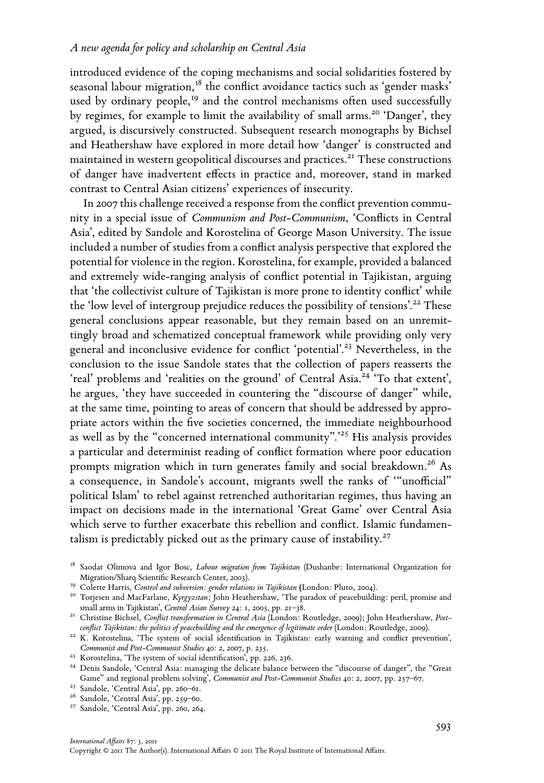introduced evidence of the coping mechanisms and social solidarities fostered by seasonal labour migration, $^{18}$  the conflict avoidance tactics such as 'gender masks' used by ordinary people,<sup>19</sup> and the control mechanisms often used successfully by regimes, for example to limit the availability of small arms.<sup>20</sup> 'Danger', they argued, is discursively constructed. Subsequent research monographs by Bichsel and Heathershaw have explored in more detail how 'danger' is constructed and maintained in western geopolitical discourses and practices.<sup>21</sup> These constructions of danger have inadvertent effects in practice and, moreover, stand in marked contrast to Central Asian citizens' experiences of insecurity.

In 2007 this challenge received a response from the conflict prevention community in a special issue of *Communism and Post-Communism*, 'Conflicts in Central Asia', edited by Sandole and Korostelina of George Mason University. The issue included a number of studies from a conflict analysis perspective that explored the potential for violence in the region. Korostelina, for example, provided a balanced and extremely wide-ranging analysis of conflict potential in Tajikistan, arguing that 'the collectivist culture of Tajikistan is more prone to identity conflict' while the 'low level of intergroup prejudice reduces the possibility of tensions'.22 These general conclusions appear reasonable, but they remain based on an unremittingly broad and schematized conceptual framework while providing only very general and inconclusive evidence for conflict 'potential'.23 Nevertheless, in the conclusion to the issue Sandole states that the collection of papers reasserts the 'real' problems and 'realities on the ground' of Central Asia.<sup>24</sup> 'To that extent', he argues, 'they have succeeded in countering the "discourse of danger" while, at the same time, pointing to areas of concern that should be addressed by appropriate actors within the five societies concerned, the immediate neighbourhood as well as by the "concerned international community".'25 His analysis provides a particular and determinist reading of conflict formation where poor education prompts migration which in turn generates family and social breakdown.<sup>26</sup> As a consequence, in Sandole's account, migrants swell the ranks of '"unofficial" political Islam' to rebel against retrenched authoritarian regimes, thus having an impact on decisions made in the international 'Great Game' over Central Asia which serve to further exacerbate this rebellion and conflict. Islamic fundamentalism is predictably picked out as the primary cause of instability. $27$ 

<sup>&</sup>lt;sup>18</sup> Saodat Olimova and Igor Bosc, *Labour migration from Tajikistan* (Dushanbe: International Organization for Migration/Sharq Scientific Research Center, 2003).

<sup>&</sup>lt;sup>19</sup> Colette Harris, *Control and subversion: gender relations in Tajikistan* (London: Pluto, 2004).<br><sup>20</sup> Torjesen and MacFarlane, *Kyrgyzstan*; John Heathershaw, 'The paradox of peacebuilding: peril, promise and

small arms in Tajikistan', *Central Asian Survey* 24: 1, 2005, pp. 21–38. <sup>21</sup> Christine Bichsel, *Conflict transformation in Central Asia* (London: Routledge, 2009); John Heathershaw, *Post-*

<sup>&</sup>lt;sup>22</sup> K. Korostelina, 'The system of social identification in Tajikistan: early warning and conflict prevention', Communist and Post-Communist Studies 40: 2, 2007, p. 235.

<sup>&</sup>lt;sup>23</sup> Korostelina, 'The system of social identification', pp. 226, 236.<br><sup>24</sup> Denis Sandole, 'Central Asia: managing the delicate balance between the "discourse of danger", the "Great Game" and regional problem solving', Communist and Post-Communist Studies 40: 2, 2007, pp. 257–67.<br><sup>25</sup> Sandole, 'Central Asia', pp. 260–61.<br><sup>26</sup> Sandole, 'Central Asia', pp. 259–60.<br><sup>27</sup> Sandole, 'Central Asia', pp. 260,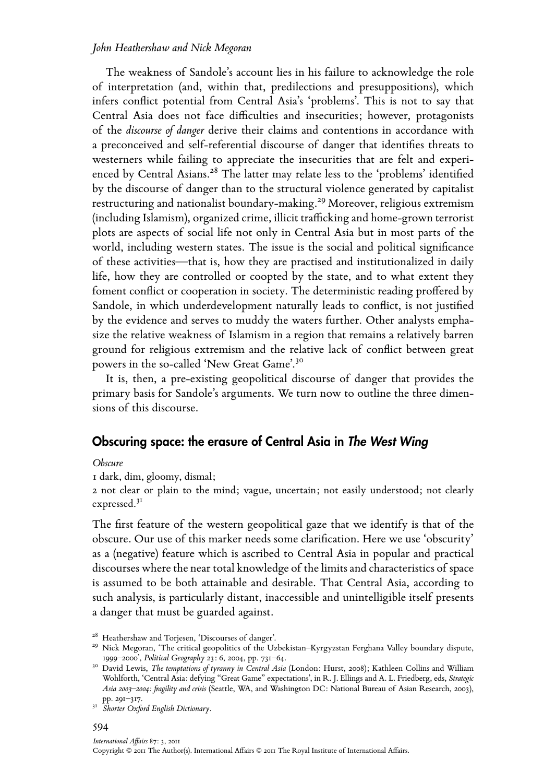The weakness of Sandole's account lies in his failure to acknowledge the role of interpretation (and, within that, predilections and presuppositions), which infers conflict potential from Central Asia's 'problems'. This is not to say that Central Asia does not face difficulties and insecurities; however, protagonists of the *discourse of danger* derive their claims and contentions in accordance with a preconceived and self-referential discourse of danger that identifies threats to westerners while failing to appreciate the insecurities that are felt and experienced by Central Asians.<sup>28</sup> The latter may relate less to the 'problems' identified by the discourse of danger than to the structural violence generated by capitalist restructuring and nationalist boundary-making.29 Moreover, religious extremism (including Islamism), organized crime, illicit trafficking and home-grown terrorist plots are aspects of social life not only in Central Asia but in most parts of the world, including western states. The issue is the social and political significance of these activities—that is, how they are practised and institutionalized in daily life, how they are controlled or coopted by the state, and to what extent they foment conflict or cooperation in society. The deterministic reading proffered by Sandole, in which underdevelopment naturally leads to conflict, is not justified by the evidence and serves to muddy the waters further. Other analysts emphasize the relative weakness of Islamism in a region that remains a relatively barren ground for religious extremism and the relative lack of conflict between great powers in the so-called 'New Great Game'.30

It is, then, a pre-existing geopolitical discourse of danger that provides the primary basis for Sandole's arguments. We turn now to outline the three dimensions of this discourse.

## Obscuring space: the erasure of Central Asia in *The West Wing*

#### *Obscure*

1 dark, dim, gloomy, dismal;

2 not clear or plain to the mind; vague, uncertain; not easily understood; not clearly expressed.<sup>31</sup>

The first feature of the western geopolitical gaze that we identify is that of the obscure. Our use of this marker needs some clarification. Here we use 'obscurity' as a (negative) feature which is ascribed to Central Asia in popular and practical discourses where the near total knowledge of the limits and characteristics of space is assumed to be both attainable and desirable. That Central Asia, according to such analysis, is particularly distant, inaccessible and unintelligible itself presents a danger that must be guarded against.

<sup>&</sup>lt;sup>28</sup> Heathershaw and Torjesen, 'Discourses of danger'.<br><sup>29</sup> Nick Megoran, 'The critical geopolitics of the Uzbekistan–Kyrgyzstan Ferghana Valley boundary dispute, 1999–2000', *Political Geography* 23: 6, 2004, pp. 731–64. <sup>30</sup> David Lewis, *The temptations of tyranny in Central Asia* (London: Hurst, 2008); Kathleen Collins and William

Wohlforth, 'Central Asia: defying "Great Game" expectations', in R. J. Ellings and A. L. Friedberg, eds, *Strategic Asia 2003–2004: fragility and crisis* (Seattle, WA, and Washington DC: National Bureau of Asian Research, 2003),

pp. 291–317. <sup>31</sup> *Shorter Oxford English Dictionary*.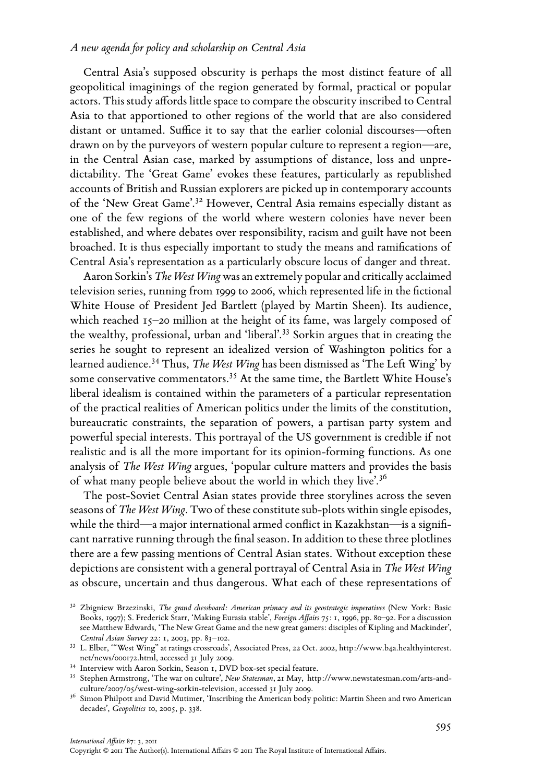## *A new agenda for policy and scholarship on Central Asia*

Central Asia's supposed obscurity is perhaps the most distinct feature of all geopolitical imaginings of the region generated by formal, practical or popular actors. This study affords little space to compare the obscurity inscribed to Central Asia to that apportioned to other regions of the world that are also considered distant or untamed. Suffice it to say that the earlier colonial discourses—often drawn on by the purveyors of western popular culture to represent a region—are, in the Central Asian case, marked by assumptions of distance, loss and unpredictability. The 'Great Game' evokes these features, particularly as republished accounts of British and Russian explorers are picked up in contemporary accounts of the 'New Great Game'.32 However, Central Asia remains especially distant as one of the few regions of the world where western colonies have never been established, and where debates over responsibility, racism and guilt have not been broached. It is thus especially important to study the means and ramifications of Central Asia's representation as a particularly obscure locus of danger and threat.

Aaron Sorkin's *The West Wing* was an extremely popular and critically acclaimed television series, running from 1999 to 2006, which represented life in the fictional White House of President Jed Bartlett (played by Martin Sheen). Its audience, which reached 15–20 million at the height of its fame, was largely composed of the wealthy, professional, urban and 'liberal'.33 Sorkin argues that in creating the series he sought to represent an idealized version of Washington politics for a learned audience.34 Thus, *The West Wing* has been dismissed as 'The Left Wing' by some conservative commentators.<sup>35</sup> At the same time, the Bartlett White House's liberal idealism is contained within the parameters of a particular representation of the practical realities of American politics under the limits of the constitution, bureaucratic constraints, the separation of powers, a partisan party system and powerful special interests. This portrayal of the US government is credible if not realistic and is all the more important for its opinion-forming functions. As one analysis of *The West Wing* argues, 'popular culture matters and provides the basis of what many people believe about the world in which they live'.36

The post-Soviet Central Asian states provide three storylines across the seven seasons of *The West Wing*. Two of these constitute sub-plots within single episodes, while the third—a major international armed conflict in Kazakhstan—is a significant narrative running through the final season. In addition to these three plotlines there are a few passing mentions of Central Asian states. Without exception these depictions are consistent with a general portrayal of Central Asia in *The West Wing* as obscure, uncertain and thus dangerous. What each of these representations of

<sup>32</sup> Zbigniew Brzezinski, *The grand chessboard: American primacy and its geostrategic imperatives* (New York: Basic Books, 1997); S. Frederick Starr, 'Making Eurasia stable', *Foreign Affairs* 75: 1, 1996, pp. 80–92. For a discussion see Matthew Edwards, 'The New Great Game and the new great gamers: disciples of Kipling and Mackinder', *Central Asian Survey* 22: 1, 2003, pp. 83–102. <sup>33</sup> L. Elber, '"West Wing" at ratings crossroads', Associated Press, 22 Oct. 2002, http://www.b4a.healthyinterest.

net/news/000172.html, accessed 31 July 2009.<br><sup>34</sup> Interview with Aaron Sorkin, Season 1, DVD box-set special feature.<br><sup>35</sup> Stephen Armstrong, 'The war on culture', *New Statesman*, 21 May, http://www.newstatesman.com/arts-

culture/2007/05/west-wing-sorkin-television, accessed 31 July 2009. <sup>36</sup> Simon Philpott and David Mutimer, 'Inscribing the American body politic: Martin Sheen and two American

decades', *Geopolitics* 10, 2005, p. 338.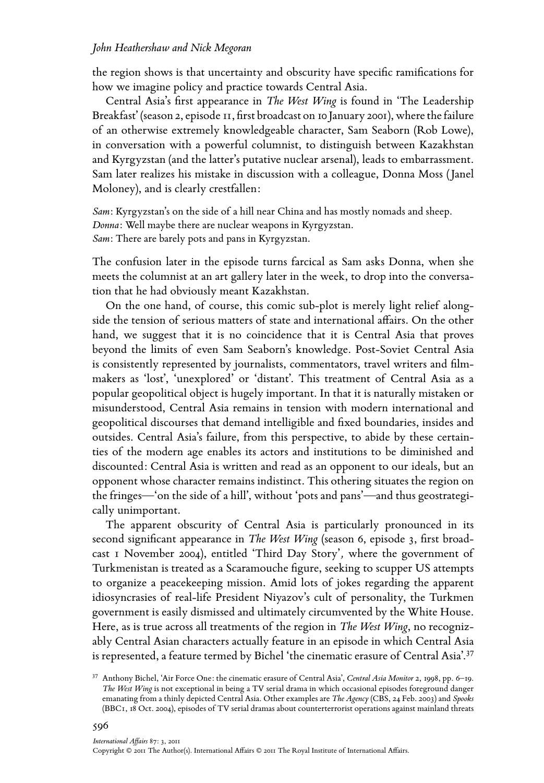the region shows is that uncertainty and obscurity have specific ramifications for how we imagine policy and practice towards Central Asia.

Central Asia's first appearance in *The West Wing* is found in 'The Leadership Breakfast' (season 2, episode 11, first broadcast on 10 January 2001), where the failure of an otherwise extremely knowledgeable character, Sam Seaborn (Rob Lowe), in conversation with a powerful columnist, to distinguish between Kazakhstan and Kyrgyzstan (and the latter's putative nuclear arsenal), leads to embarrassment. Sam later realizes his mistake in discussion with a colleague, Donna Moss ( Janel Moloney), and is clearly crestfallen:

*Sam*: Kyrgyzstan's on the side of a hill near China and has mostly nomads and sheep. *Donna*: Well maybe there are nuclear weapons in Kyrgyzstan. *Sam*: There are barely pots and pans in Kyrgyzstan.

The confusion later in the episode turns farcical as Sam asks Donna, when she meets the columnist at an art gallery later in the week, to drop into the conversation that he had obviously meant Kazakhstan.

On the one hand, of course, this comic sub-plot is merely light relief alongside the tension of serious matters of state and international affairs. On the other hand, we suggest that it is no coincidence that it is Central Asia that proves beyond the limits of even Sam Seaborn's knowledge. Post-Soviet Central Asia is consistently represented by journalists, commentators, travel writers and filmmakers as 'lost', 'unexplored' or 'distant'. This treatment of Central Asia as a popular geopolitical object is hugely important. In that it is naturally mistaken or misunderstood, Central Asia remains in tension with modern international and geopolitical discourses that demand intelligible and fixed boundaries, insides and outsides. Central Asia's failure, from this perspective, to abide by these certainties of the modern age enables its actors and institutions to be diminished and discounted: Central Asia is written and read as an opponent to our ideals, but an opponent whose character remains indistinct. This othering situates the region on the fringes—'on the side of a hill', without 'pots and pans'—and thus geostrategically unimportant.

The apparent obscurity of Central Asia is particularly pronounced in its second significant appearance in *The West Wing* (season 6, episode 3, first broadcast 1 November 2004), entitled 'Third Day Story'*,* where the government of Turkmenistan is treated as a Scaramouche figure, seeking to scupper US attempts to organize a peacekeeping mission. Amid lots of jokes regarding the apparent idiosyncrasies of real-life President Niyazov's cult of personality, the Turkmen government is easily dismissed and ultimately circumvented by the White House. Here, as is true across all treatments of the region in *The West Wing*, no recognizably Central Asian characters actually feature in an episode in which Central Asia is represented, a feature termed by Bichel 'the cinematic erasure of Central Asia'.<sup>37</sup>

<sup>37</sup> Anthony Bichel, 'Air Force One: the cinematic erasure of Central Asia', *Central Asia Monitor* 2, 1998, pp. 6–19. *The West Wing* is not exceptional in being a TV serial drama in which occasional episodes foreground danger emanating from a thinly depicted Central Asia. Other examples are *The Agency* (CBS, 24 Feb. 2003) and *Spooks* (BBC1, 18 Oct. 2004), episodes of TV serial dramas about counterterrorist operations against mainland threats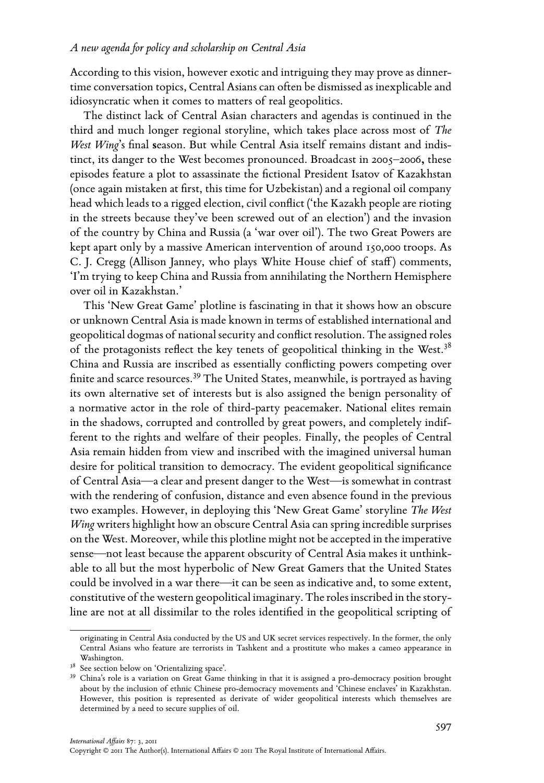According to this vision, however exotic and intriguing they may prove as dinnertime conversation topics, Central Asians can often be dismissed as inexplicable and idiosyncratic when it comes to matters of real geopolitics.

The distinct lack of Central Asian characters and agendas is continued in the third and much longer regional storyline, which takes place across most of *The West Wing*'s final **s**eason. But while Central Asia itself remains distant and indistinct, its danger to the West becomes pronounced. Broadcast in 2005–2006**,** these episodes feature a plot to assassinate the fictional President Isatov of Kazakhstan (once again mistaken at first, this time for Uzbekistan) and a regional oil company head which leads to a rigged election, civil conflict ('the Kazakh people are rioting in the streets because they've been screwed out of an election') and the invasion of the country by China and Russia (a 'war over oil'). The two Great Powers are kept apart only by a massive American intervention of around 150,000 troops. As C. J. Cregg (Allison Janney, who plays White House chief of staff ) comments, 'I'm trying to keep China and Russia from annihilating the Northern Hemisphere over oil in Kazakhstan.'

This 'New Great Game' plotline is fascinating in that it shows how an obscure or unknown Central Asia is made known in terms of established international and geopolitical dogmas of national security and conflict resolution. The assigned roles of the protagonists reflect the key tenets of geopolitical thinking in the West.<sup>38</sup> China and Russia are inscribed as essentially conflicting powers competing over finite and scarce resources.39 The United States, meanwhile, is portrayed as having its own alternative set of interests but is also assigned the benign personality of a normative actor in the role of third-party peacemaker. National elites remain in the shadows, corrupted and controlled by great powers, and completely indifferent to the rights and welfare of their peoples. Finally, the peoples of Central Asia remain hidden from view and inscribed with the imagined universal human desire for political transition to democracy. The evident geopolitical significance of Central Asia—a clear and present danger to the West—is somewhat in contrast with the rendering of confusion, distance and even absence found in the previous two examples. However, in deploying this 'New Great Game' storyline *The West Wing* writers highlight how an obscure Central Asia can spring incredible surprises on the West. Moreover, while this plotline might not be accepted in the imperative sense—not least because the apparent obscurity of Central Asia makes it unthinkable to all but the most hyperbolic of New Great Gamers that the United States could be involved in a war there—it can be seen as indicative and, to some extent, constitutive of the western geopolitical imaginary. The roles inscribed in the storyline are not at all dissimilar to the roles identified in the geopolitical scripting of

originating in Central Asia conducted by the US and UK secret services respectively. In the former, the only Central Asians who feature are terrorists in Tashkent and a prostitute who makes a cameo appearance in

Washington.<br><sup>38</sup> See section below on 'Orientalizing space'.<br><sup>39</sup> China's role is a variation on Great Game thinking in that it is assigned a pro-democracy position brought about by the inclusion of ethnic Chinese pro-democracy movements and 'Chinese enclaves' in Kazakhstan. However, this position is represented as derivate of wider geopolitical interests which themselves are determined by a need to secure supplies of oil.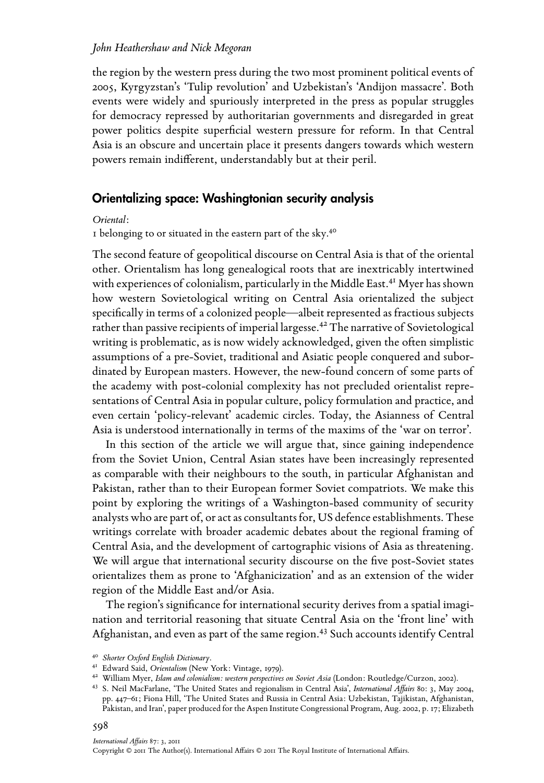the region by the western press during the two most prominent political events of 2005, Kyrgyzstan's 'Tulip revolution' and Uzbekistan's 'Andijon massacre'. Both events were widely and spuriously interpreted in the press as popular struggles for democracy repressed by authoritarian governments and disregarded in great power politics despite superficial western pressure for reform. In that Central Asia is an obscure and uncertain place it presents dangers towards which western powers remain indifferent, understandably but at their peril.

## Orientalizing space: Washingtonian security analysis

#### *Oriental*:

1 belonging to or situated in the eastern part of the sky.40

The second feature of geopolitical discourse on Central Asia is that of the oriental other. Orientalism has long genealogical roots that are inextricably intertwined with experiences of colonialism, particularly in the Middle East.<sup>41</sup> Myer has shown how western Sovietological writing on Central Asia orientalized the subject specifically in terms of a colonized people—albeit represented as fractious subjects rather than passive recipients of imperial largesse.<sup>42</sup> The narrative of Sovietological writing is problematic, as is now widely acknowledged, given the often simplistic assumptions of a pre-Soviet, traditional and Asiatic people conquered and subordinated by European masters. However, the new-found concern of some parts of the academy with post-colonial complexity has not precluded orientalist representations of Central Asia in popular culture, policy formulation and practice, and even certain 'policy-relevant' academic circles. Today, the Asianness of Central Asia is understood internationally in terms of the maxims of the 'war on terror'.

In this section of the article we will argue that, since gaining independence from the Soviet Union, Central Asian states have been increasingly represented as comparable with their neighbours to the south, in particular Afghanistan and Pakistan, rather than to their European former Soviet compatriots. We make this point by exploring the writings of a Washington-based community of security analysts who are part of, or act as consultants for, US defence establishments. These writings correlate with broader academic debates about the regional framing of Central Asia, and the development of cartographic visions of Asia as threatening. We will argue that international security discourse on the five post-Soviet states orientalizes them as prone to 'Afghanicization' and as an extension of the wider region of the Middle East and/or Asia.

The region's significance for international security derives from a spatial imagination and territorial reasoning that situate Central Asia on the 'front line' with Afghanistan, and even as part of the same region.43 Such accounts identify Central

<sup>&</sup>lt;sup>40</sup> Shorter Oxford English Dictionary.<br><sup>41</sup> Edward Said, Orientalism (New York: Vintage, 1979).<br><sup>42</sup> William Myer, *Islam and colonialism: western perspectives on Soviet Asia* (London: Routledge/Curzon, 2002).<br><sup>43</sup> S. Nei

pp. 447–61; Fiona Hill, 'The United States and Russia in Central Asia: Uzbekistan, Tajikistan, Afghanistan, Pakistan, and Iran', paper produced for the Aspen Institute Congressional Program, Aug. 2002, p. 17; Elizabeth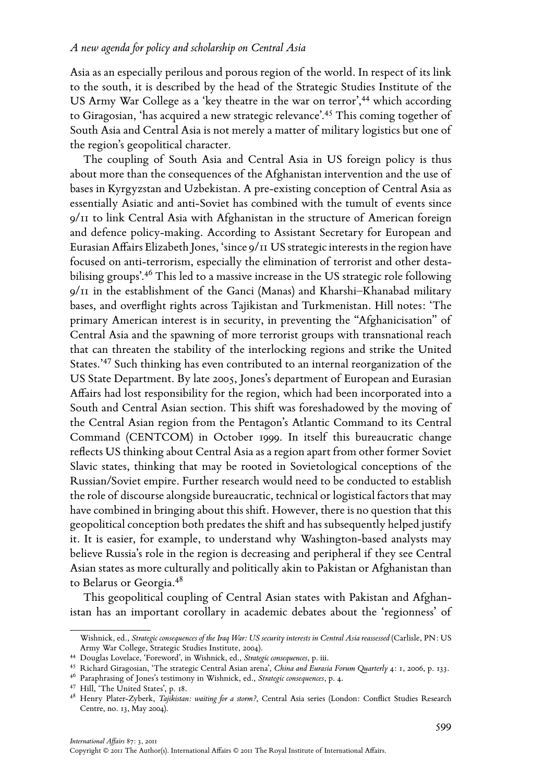Asia as an especially perilous and porous region of the world. In respect of its link to the south, it is described by the head of the Strategic Studies Institute of the US Army War College as a 'key theatre in the war on terror',<sup>44</sup> which according to Giragosian, 'has acquired a new strategic relevance'.45 This coming together of South Asia and Central Asia is not merely a matter of military logistics but one of the region's geopolitical character.

The coupling of South Asia and Central Asia in US foreign policy is thus about more than the consequences of the Afghanistan intervention and the use of bases in Kyrgyzstan and Uzbekistan. A pre-existing conception of Central Asia as essentially Asiatic and anti-Soviet has combined with the tumult of events since 9/11 to link Central Asia with Afghanistan in the structure of American foreign and defence policy-making. According to Assistant Secretary for European and Eurasian Affairs Elizabeth Jones, 'since 9/11 US strategic interests in the region have focused on anti-terrorism, especially the elimination of terrorist and other destabilising groups'.46 This led to a massive increase in the US strategic role following 9/11 in the establishment of the Ganci (Manas) and Kharshi–Khanabad military bases, and overflight rights across Tajikistan and Turkmenistan. Hill notes: 'The primary American interest is in security, in preventing the "Afghanicisation" of Central Asia and the spawning of more terrorist groups with transnational reach that can threaten the stability of the interlocking regions and strike the United States.'47 Such thinking has even contributed to an internal reorganization of the US State Department. By late 2005, Jones's department of European and Eurasian Affairs had lost responsibility for the region, which had been incorporated into a South and Central Asian section. This shift was foreshadowed by the moving of the Central Asian region from the Pentagon's Atlantic Command to its Central Command (CENTCOM) in October 1999. In itself this bureaucratic change reflects US thinking about Central Asia as a region apart from other former Soviet Slavic states, thinking that may be rooted in Sovietological conceptions of the Russian/Soviet empire. Further research would need to be conducted to establish the role of discourse alongside bureaucratic, technical or logistical factors that may have combined in bringing about this shift. However, there is no question that this geopolitical conception both predates the shift and has subsequently helped justify it. It is easier, for example, to understand why Washington-based analysts may believe Russia's role in the region is decreasing and peripheral if they see Central Asian states as more culturally and politically akin to Pakistan or Afghanistan than to Belarus or Georgia.48

This geopolitical coupling of Central Asian states with Pakistan and Afghanistan has an important corollary in academic debates about the 'regionness' of

Wishnick, ed., *Strategic consequences of the Iraq War: US security interests in Central Asia reassessed* (Carlisle, PN: US Army War College, Strategic Studies Institute, 2004).<br>
<sup>44</sup> Douglas Lovelace, 'Foreword', in Wishnick, ed., *Strategic consequences*, p. iii.<br>
<sup>45</sup> Richard Giragosian, 'The strategic Central Asian arena', *China and Eurasi* 

Centre, no. 13, May 2004).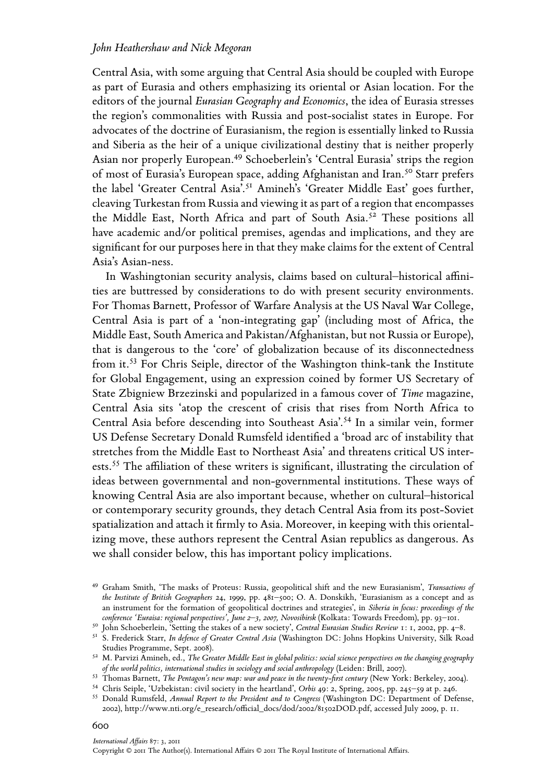Central Asia, with some arguing that Central Asia should be coupled with Europe as part of Eurasia and others emphasizing its oriental or Asian location. For the editors of the journal *Eurasian Geography and Economics*, the idea of Eurasia stresses the region's commonalities with Russia and post-socialist states in Europe. For advocates of the doctrine of Eurasianism, the region is essentially linked to Russia and Siberia as the heir of a unique civilizational destiny that is neither properly Asian nor properly European.<sup>49</sup> Schoeberlein's 'Central Eurasia' strips the region of most of Eurasia's European space, adding Afghanistan and Iran.<sup>50</sup> Starr prefers the label 'Greater Central Asia'.51 Amineh's 'Greater Middle East' goes further, cleaving Turkestan from Russia and viewing it as part of a region that encompasses the Middle East, North Africa and part of South Asia.<sup>52</sup> These positions all have academic and/or political premises, agendas and implications, and they are significant for our purposes here in that they make claims for the extent of Central Asia's Asian-ness.

In Washingtonian security analysis, claims based on cultural–historical affinities are buttressed by considerations to do with present security environments. For Thomas Barnett, Professor of Warfare Analysis at the US Naval War College, Central Asia is part of a 'non-integrating gap' (including most of Africa, the Middle East, South America and Pakistan/Afghanistan, but not Russia or Europe), that is dangerous to the 'core' of globalization because of its disconnectedness from it.<sup>53</sup> For Chris Seiple, director of the Washington think-tank the Institute for Global Engagement, using an expression coined by former US Secretary of State Zbigniew Brzezinski and popularized in a famous cover of *Time* magazine, Central Asia sits 'atop the crescent of crisis that rises from North Africa to Central Asia before descending into Southeast Asia'.54 In a similar vein, former US Defense Secretary Donald Rumsfeld identified a 'broad arc of instability that stretches from the Middle East to Northeast Asia' and threatens critical US interests.<sup>55</sup> The affiliation of these writers is significant, illustrating the circulation of ideas between governmental and non-governmental institutions. These ways of knowing Central Asia are also important because, whether on cultural–historical or contemporary security grounds, they detach Central Asia from its post-Soviet spatialization and attach it firmly to Asia. Moreover, in keeping with this orientalizing move, these authors represent the Central Asian republics as dangerous. As we shall consider below, this has important policy implications.

<sup>49</sup> Graham Smith, 'The masks of Proteus: Russia, geopolitical shift and the new Eurasianism', *Transactions of the Institute of British Geographers* 24, 1999, pp. 481–500; O. A. Donskikh, 'Eurasianism as a concept and as an instrument for the formation of geopolitical doctrines and strategies', in *Siberia in focus: proceedings of the* 

<sup>&</sup>lt;sup>50</sup> John Schoeberlein, Setting the stakes of a new society', Central Eurasian Studies Review 1: 1, 2002, pp. 4–8.<br><sup>51</sup> S. Frederick Starr, *In defence of Greater Central Asia* (Washington DC: Johns Hopkins University, Sil

Studies Programme, Sept. 2008).<br><sup>52</sup> M. Parvizi Amineh, ed., *The Greater Middle East in global politics: social science perspectives on the changing geography*<br>6*1 of the world politics, international studies in sociology* 

<sup>&</sup>lt;sup>53</sup> Thomas Barnett, *The Pentagon's new map: war and peace in the twenty-first century* (New York: Berkeley, 2004).<br><sup>54</sup> Chris Seiple, 'Uzbekistan: civil society in the heartland', *Orbis 49*: 2, Spring, 2005, pp. 245–59

<sup>2002),</sup> http://www.nti.org/e\_research/official\_docs/dod/2002/81502DOD.pdf, accessed July 2009, p. 11.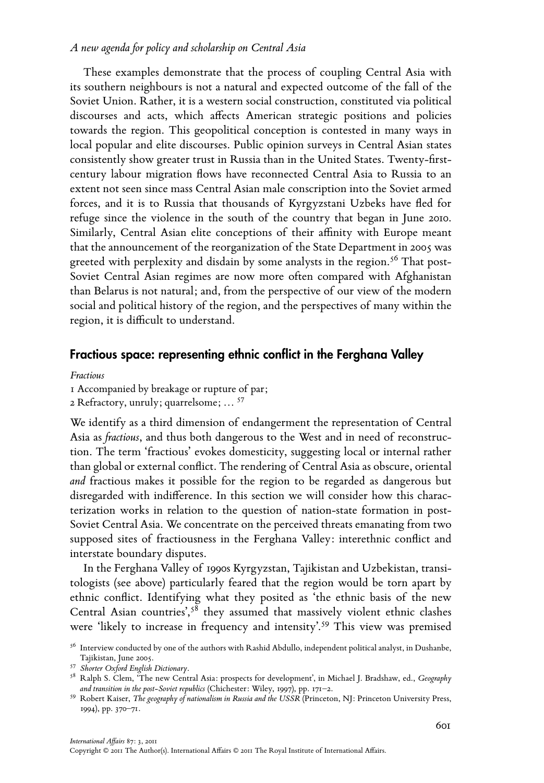## *A new agenda for policy and scholarship on Central Asia*

These examples demonstrate that the process of coupling Central Asia with its southern neighbours is not a natural and expected outcome of the fall of the Soviet Union. Rather, it is a western social construction, constituted via political discourses and acts, which affects American strategic positions and policies towards the region. This geopolitical conception is contested in many ways in local popular and elite discourses. Public opinion surveys in Central Asian states consistently show greater trust in Russia than in the United States. Twenty-firstcentury labour migration flows have reconnected Central Asia to Russia to an extent not seen since mass Central Asian male conscription into the Soviet armed forces, and it is to Russia that thousands of Kyrgyzstani Uzbeks have fled for refuge since the violence in the south of the country that began in June 2010. Similarly, Central Asian elite conceptions of their affinity with Europe meant that the announcement of the reorganization of the State Department in 2005 was greeted with perplexity and disdain by some analysts in the region.<sup>56</sup> That post-Soviet Central Asian regimes are now more often compared with Afghanistan than Belarus is not natural; and, from the perspective of our view of the modern social and political history of the region, and the perspectives of many within the region, it is difficult to understand.

## Fractious space: representing ethnic conflict in the Ferghana Valley

#### *Fractious*

1 Accompanied by breakage or rupture of par;

2 Refractory, unruly; quarrelsome; … 57

We identify as a third dimension of endangerment the representation of Central Asia as *fractious*, and thus both dangerous to the West and in need of reconstruction. The term 'fractious' evokes domesticity, suggesting local or internal rather than global or external conflict. The rendering of Central Asia as obscure, oriental *and* fractious makes it possible for the region to be regarded as dangerous but disregarded with indifference. In this section we will consider how this characterization works in relation to the question of nation-state formation in post-Soviet Central Asia. We concentrate on the perceived threats emanating from two supposed sites of fractiousness in the Ferghana Valley: interethnic conflict and interstate boundary disputes.

In the Ferghana Valley of 1990s Kyrgyzstan, Tajikistan and Uzbekistan, transitologists (see above) particularly feared that the region would be torn apart by ethnic conflict. Identifying what they posited as 'the ethnic basis of the new Central Asian countries',  $5^{\overline{8}}$  they assumed that massively violent ethnic clashes were 'likely to increase in frequency and intensity'.<sup>59</sup> This view was premised

<sup>&</sup>lt;sup>56</sup> Interview conducted by one of the authors with Rashid Abdullo, independent political analyst, in Dushanbe, Tajikistan, June 2005. <sup>57</sup> *Shorter Oxford English Dictionary*. <sup>58</sup> Ralph S. Clem, 'The new Central Asia: prospects for development', in Michael J. Bradshaw, ed., *Geography* 

*and transition in the post-Soviet republics* (Chichester: Wiley, 1997), pp. 171–2. <sup>59</sup> Robert Kaiser, *The geography of nationalism in Russia and the USSR* (Princeton, NJ: Princeton University Press,

<sup>1994),</sup> pp. 370–71.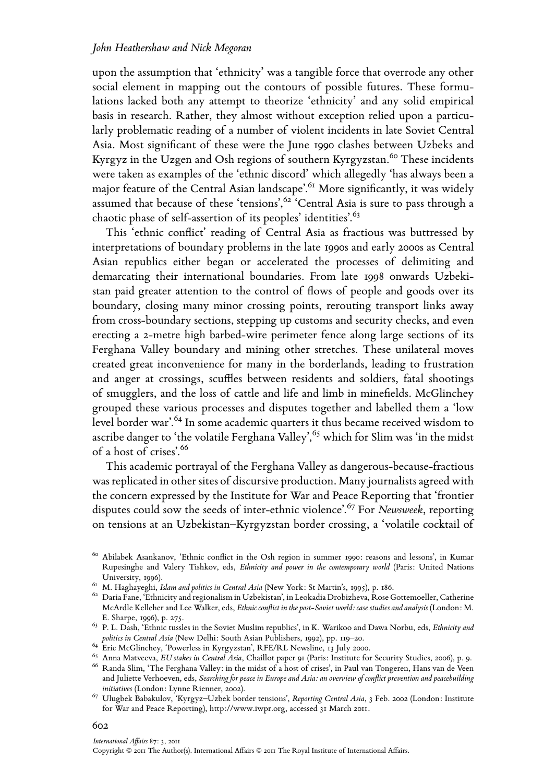upon the assumption that 'ethnicity' was a tangible force that overrode any other social element in mapping out the contours of possible futures. These formulations lacked both any attempt to theorize 'ethnicity' and any solid empirical basis in research. Rather, they almost without exception relied upon a particularly problematic reading of a number of violent incidents in late Soviet Central Asia. Most significant of these were the June 1990 clashes between Uzbeks and Kyrgyz in the Uzgen and Osh regions of southern Kyrgyzstan.<sup>60</sup> These incidents were taken as examples of the 'ethnic discord' which allegedly 'has always been a major feature of the Central Asian landscape'.<sup>61</sup> More significantly, it was widely assumed that because of these 'tensions',<sup>62</sup> 'Central Asia is sure to pass through a chaotic phase of self-assertion of its peoples' identities'.<sup>63</sup>

This 'ethnic conflict' reading of Central Asia as fractious was buttressed by interpretations of boundary problems in the late 1990s and early 2000s as Central Asian republics either began or accelerated the processes of delimiting and demarcating their international boundaries. From late 1998 onwards Uzbekistan paid greater attention to the control of flows of people and goods over its boundary, closing many minor crossing points, rerouting transport links away from cross-boundary sections, stepping up customs and security checks, and even erecting a 2-metre high barbed-wire perimeter fence along large sections of its Ferghana Valley boundary and mining other stretches. These unilateral moves created great inconvenience for many in the borderlands, leading to frustration and anger at crossings, scuffles between residents and soldiers, fatal shootings of smugglers, and the loss of cattle and life and limb in minefields. McGlinchey grouped these various processes and disputes together and labelled them a 'low level border war'.<sup>64</sup> In some academic quarters it thus became received wisdom to ascribe danger to 'the volatile Ferghana Valley', <sup>65</sup> which for Slim was 'in the midst of a host of crises'.66

This academic portrayal of the Ferghana Valley as dangerous-because-fractious was replicated in other sites of discursive production. Many journalists agreed with the concern expressed by the Institute for War and Peace Reporting that 'frontier disputes could sow the seeds of inter-ethnic violence'.67 For *Newsweek*, reporting on tensions at an Uzbekistan–Kyrgyzstan border crossing, a 'volatile cocktail of

<sup>60</sup> Abilabek Asankanov, 'Ethnic conflict in the Osh region in summer 1990: reasons and lessons', in Kumar Rupesinghe and Valery Tishkov, eds, *Ethnicity and power in the contemporary world* (Paris: United Nations University, 1996).<br><sup>61</sup> M. Haghayeghi, *Islam and politics in Central Asia* (New York: St Martin's, 1995), p. 186.<br><sup>62</sup> Daria Fane, 'Ethnicity and regionalism in Uzbekistan', in Leokadia Drobizheva, Rose Gottemoeller, Cath

McArdle Kelleher and Lee Walker, eds, *Ethnic conflict in the post-Soviet world: case studies and analysis* (London: M.

E. Sharpe, 1996), p. 275. <sup>63</sup> P. L. Dash, 'Ethnic tussles in the Soviet Muslim republics', in K. Warikoo and Dawa Norbu, eds, *Ethnicity and* 

politics in Central Asia (New Delhi: South Asian Publishers, 1992), pp. 119–20.<br><sup>64</sup> Eric McGlinchey, 'Powerless in Kyrgyzstan', RFE/RL Newsline, 13 July 2000.<br><sup>65</sup> Anna Matveeva, *EU stakes in Central Asia*, Chaillot pape and Juliette Verhoeven, eds, *Searching for peace in Europe and Asia: an overview of conflict prevention and peacebuilding initiatives* (London: Lynne Rienner, 2002). <sup>67</sup> Ulugbek Babakulov, 'Kyrgyz–Uzbek border tensions', *Reporting Central Asia*, 3 Feb. 2002 (London: Institute

for War and Peace Reporting), http://www.iwpr.org, accessed 31 March 2011.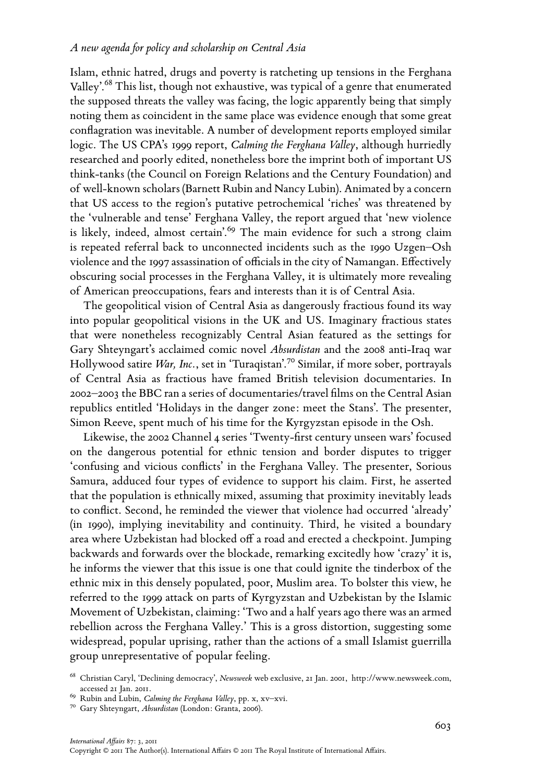Islam, ethnic hatred, drugs and poverty is ratcheting up tensions in the Ferghana Valley'.68 This list, though not exhaustive, was typical of a genre that enumerated the supposed threats the valley was facing, the logic apparently being that simply noting them as coincident in the same place was evidence enough that some great conflagration was inevitable. A number of development reports employed similar logic. The US CPA's 1999 report, *Calming the Ferghana Valley*, although hurriedly researched and poorly edited, nonetheless bore the imprint both of important US think-tanks (the Council on Foreign Relations and the Century Foundation) and of well-known scholars (Barnett Rubin and Nancy Lubin). Animated by a concern that US access to the region's putative petrochemical 'riches' was threatened by the 'vulnerable and tense' Ferghana Valley, the report argued that 'new violence is likely, indeed, almost certain'.<sup>69</sup> The main evidence for such a strong claim is repeated referral back to unconnected incidents such as the 1990 Uzgen–Osh violence and the 1997 assassination of officials in the city of Namangan. Effectively obscuring social processes in the Ferghana Valley, it is ultimately more revealing of American preoccupations, fears and interests than it is of Central Asia.

The geopolitical vision of Central Asia as dangerously fractious found its way into popular geopolitical visions in the UK and US. Imaginary fractious states that were nonetheless recognizably Central Asian featured as the settings for Gary Shteyngart's acclaimed comic novel *Absurdistan* and the 2008 anti-Iraq war Hollywood satire *War, Inc.*, set in 'Turaqistan'.70 Similar, if more sober, portrayals of Central Asia as fractious have framed British television documentaries. In 2002–2003 the BBC ran a series of documentaries/travel films on the Central Asian republics entitled 'Holidays in the danger zone: meet the Stans'. The presenter, Simon Reeve, spent much of his time for the Kyrgyzstan episode in the Osh.

Likewise, the 2002 Channel 4 series 'Twenty-first century unseen wars' focused on the dangerous potential for ethnic tension and border disputes to trigger 'confusing and vicious conflicts' in the Ferghana Valley. The presenter, Sorious Samura, adduced four types of evidence to support his claim. First, he asserted that the population is ethnically mixed, assuming that proximity inevitably leads to conflict. Second, he reminded the viewer that violence had occurred 'already' (in 1990), implying inevitability and continuity. Third, he visited a boundary area where Uzbekistan had blocked off a road and erected a checkpoint. Jumping backwards and forwards over the blockade, remarking excitedly how 'crazy' it is, he informs the viewer that this issue is one that could ignite the tinderbox of the ethnic mix in this densely populated, poor, Muslim area. To bolster this view, he referred to the 1999 attack on parts of Kyrgyzstan and Uzbekistan by the Islamic Movement of Uzbekistan, claiming: 'Two and a half years ago there was an armed rebellion across the Ferghana Valley.' This is a gross distortion, suggesting some widespread, popular uprising, rather than the actions of a small Islamist guerrilla group unrepresentative of popular feeling.

<sup>68</sup> Christian Caryl, 'Declining democracy', *Newsweek* web exclusive, 21 Jan. 2001, http://www.newsweek.com, accessed 21 Jan. 2011. <sup>69</sup> Rubin and Lubin, *Calming the Ferghana Valley*, pp. x, xv–xvi. <sup>70</sup> Gary Shteyngart, *Absurdistan* (London: Granta, 2006).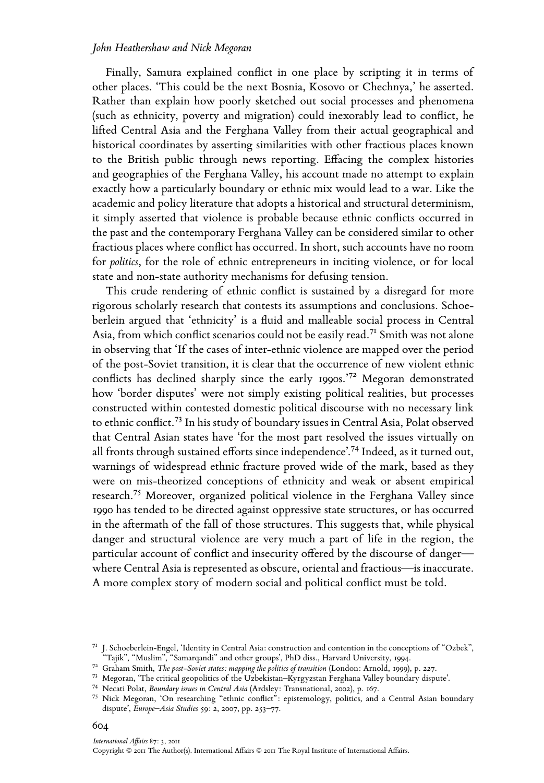Finally, Samura explained conflict in one place by scripting it in terms of other places. 'This could be the next Bosnia, Kosovo or Chechnya,' he asserted. Rather than explain how poorly sketched out social processes and phenomena (such as ethnicity, poverty and migration) could inexorably lead to conflict, he lifted Central Asia and the Ferghana Valley from their actual geographical and historical coordinates by asserting similarities with other fractious places known to the British public through news reporting. Effacing the complex histories and geographies of the Ferghana Valley, his account made no attempt to explain exactly how a particularly boundary or ethnic mix would lead to a war. Like the academic and policy literature that adopts a historical and structural determinism, it simply asserted that violence is probable because ethnic conflicts occurred in the past and the contemporary Ferghana Valley can be considered similar to other fractious places where conflict has occurred. In short, such accounts have no room for *politics*, for the role of ethnic entrepreneurs in inciting violence, or for local state and non-state authority mechanisms for defusing tension.

This crude rendering of ethnic conflict is sustained by a disregard for more rigorous scholarly research that contests its assumptions and conclusions. Schoeberlein argued that 'ethnicity' is a fluid and malleable social process in Central Asia, from which conflict scenarios could not be easily read.<sup>71</sup> Smith was not alone in observing that 'If the cases of inter-ethnic violence are mapped over the period of the post-Soviet transition, it is clear that the occurrence of new violent ethnic conflicts has declined sharply since the early 1990s.'72 Megoran demonstrated how 'border disputes' were not simply existing political realities, but processes constructed within contested domestic political discourse with no necessary link to ethnic conflict.73 In his study of boundary issues in Central Asia, Polat observed that Central Asian states have 'for the most part resolved the issues virtually on all fronts through sustained efforts since independence'.74 Indeed, as it turned out, warnings of widespread ethnic fracture proved wide of the mark, based as they were on mis-theorized conceptions of ethnicity and weak or absent empirical research.75 Moreover, organized political violence in the Ferghana Valley since 1990 has tended to be directed against oppressive state structures, or has occurred in the aftermath of the fall of those structures. This suggests that, while physical danger and structural violence are very much a part of life in the region, the particular account of conflict and insecurity offered by the discourse of danger where Central Asia is represented as obscure, oriental and fractious—is inaccurate. A more complex story of modern social and political conflict must be told.

<sup>&</sup>lt;sup>71</sup> J. Schoeberlein-Engel, 'Identity in Central Asia: construction and contention in the conceptions of "Ozbek", "Tajik", "Muslim", "Samarqandi" and other groups', PhD diss., Harvard University, 1994.

<sup>&</sup>lt;sup>72</sup> Graham Smith, *The post-Soviet states: mapping the politics of transition* (London: Arnold, 1999), p. 227.<br><sup>73</sup> Megoran, 'The critical geopolitics of the Uzbekistan–Kyrgyzstan Ferghana Valley boundary dispute'.<br><sup>74</sup>

dispute', *Europe–Asia Studies* 59: 2, 2007, pp. 253–77.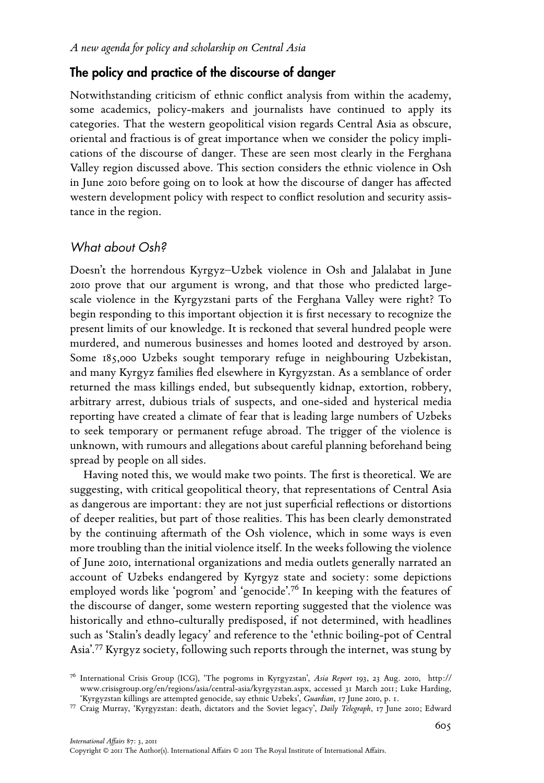# The policy and practice of the discourse of danger

Notwithstanding criticism of ethnic conflict analysis from within the academy, some academics, policy-makers and journalists have continued to apply its categories. That the western geopolitical vision regards Central Asia as obscure, oriental and fractious is of great importance when we consider the policy implications of the discourse of danger. These are seen most clearly in the Ferghana Valley region discussed above. This section considers the ethnic violence in Osh in June 2010 before going on to look at how the discourse of danger has affected western development policy with respect to conflict resolution and security assistance in the region.

# *What about Osh?*

Doesn't the horrendous Kyrgyz–Uzbek violence in Osh and Jalalabat in June 2010 prove that our argument is wrong, and that those who predicted largescale violence in the Kyrgyzstani parts of the Ferghana Valley were right? To begin responding to this important objection it is first necessary to recognize the present limits of our knowledge. It is reckoned that several hundred people were murdered, and numerous businesses and homes looted and destroyed by arson. Some 185,000 Uzbeks sought temporary refuge in neighbouring Uzbekistan, and many Kyrgyz families fled elsewhere in Kyrgyzstan. As a semblance of order returned the mass killings ended, but subsequently kidnap, extortion, robbery, arbitrary arrest, dubious trials of suspects, and one-sided and hysterical media reporting have created a climate of fear that is leading large numbers of Uzbeks to seek temporary or permanent refuge abroad. The trigger of the violence is unknown, with rumours and allegations about careful planning beforehand being spread by people on all sides.

Having noted this, we would make two points. The first is theoretical. We are suggesting, with critical geopolitical theory, that representations of Central Asia as dangerous are important: they are not just superficial reflections or distortions of deeper realities, but part of those realities. This has been clearly demonstrated by the continuing aftermath of the Osh violence, which in some ways is even more troubling than the initial violence itself. In the weeks following the violence of June 2010, international organizations and media outlets generally narrated an account of Uzbeks endangered by Kyrgyz state and society: some depictions employed words like 'pogrom' and 'genocide'.76 In keeping with the features of the discourse of danger, some western reporting suggested that the violence was historically and ethno-culturally predisposed, if not determined, with headlines such as 'Stalin's deadly legacy' and reference to the 'ethnic boiling-pot of Central Asia'.77 Kyrgyz society, following such reports through the internet, was stung by

<sup>76</sup> International Crisis Group (ICG), 'The pogroms in Kyrgyzstan', *Asia Report* 193, 23 Aug. 2010, http:// www.crisisgroup.org/en/regions/asia/central-asia/kyrgyzstan.aspx, accessed 31 March 2011; Luke Harding,

<sup>&#</sup>x27;Kyrgyzstan killings are attempted genocide, say ethnic Uzbeks', *Guardian*, 17 June 2010, p. 1. <sup>77</sup> Craig Murray, 'Kyrgyzstan: death, dictators and the Soviet legacy', *Daily Telegraph*, 17 June 2010; Edward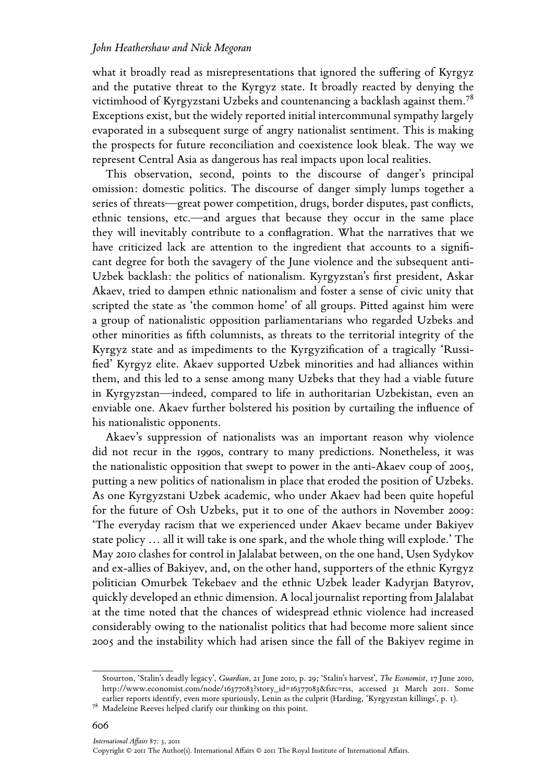what it broadly read as misrepresentations that ignored the suffering of Kyrgyz and the putative threat to the Kyrgyz state. It broadly reacted by denying the victimhood of Kyrgyzstani Uzbeks and countenancing a backlash against them.<sup>78</sup> Exceptions exist, but the widely reported initial intercommunal sympathy largely evaporated in a subsequent surge of angry nationalist sentiment. This is making the prospects for future reconciliation and coexistence look bleak. The way we represent Central Asia as dangerous has real impacts upon local realities.

This observation, second, points to the discourse of danger's principal omission: domestic politics. The discourse of danger simply lumps together a series of threats—great power competition, drugs, border disputes, past conflicts, ethnic tensions, etc.—and argues that because they occur in the same place they will inevitably contribute to a conflagration. What the narratives that we have criticized lack are attention to the ingredient that accounts to a significant degree for both the savagery of the June violence and the subsequent anti-Uzbek backlash: the politics of nationalism. Kyrgyzstan's first president, Askar Akaev, tried to dampen ethnic nationalism and foster a sense of civic unity that scripted the state as 'the common home' of all groups. Pitted against him were a group of nationalistic opposition parliamentarians who regarded Uzbeks and other minorities as fifth columnists, as threats to the territorial integrity of the Kyrgyz state and as impediments to the Kyrgyzification of a tragically 'Russified' Kyrgyz elite. Akaev supported Uzbek minorities and had alliances within them, and this led to a sense among many Uzbeks that they had a viable future in Kyrgyzstan—indeed, compared to life in authoritarian Uzbekistan, even an enviable one. Akaev further bolstered his position by curtailing the influence of his nationalistic opponents.

Akaev's suppression of nationalists was an important reason why violence did not recur in the 1990s, contrary to many predictions. Nonetheless, it was the nationalistic opposition that swept to power in the anti-Akaev coup of 2005, putting a new politics of nationalism in place that eroded the position of Uzbeks. As one Kyrgyzstani Uzbek academic, who under Akaev had been quite hopeful for the future of Osh Uzbeks, put it to one of the authors in November 2009: 'The everyday racism that we experienced under Akaev became under Bakiyev state policy … all it will take is one spark, and the whole thing will explode.' The May 2010 clashes for control in Jalalabat between, on the one hand, Usen Sydykov and ex-allies of Bakiyev, and, on the other hand, supporters of the ethnic Kyrgyz politician Omurbek Tekebaev and the ethnic Uzbek leader Kadyrjan Batyrov, quickly developed an ethnic dimension. A local journalist reporting from Jalalabat at the time noted that the chances of widespread ethnic violence had increased considerably owing to the nationalist politics that had become more salient since 2005 and the instability which had arisen since the fall of the Bakiyev regime in

Stourton, 'Stalin's deadly legacy', *Guardian*, 21 June 2010, p. 29; 'Stalin's harvest', *The Economist*, 17 June 2010, http://www.economist.com/node/16377083?story\_id=16377083&fsrc=rss, accessed 31 March 2011. Some earlier reports identify, even more spuriously, Lenin as the culprit (Harding, 'Kyrgyzstan killings', p. 1).<br><sup>78</sup> Madeleine Reeves helped clarify our thinking on this point.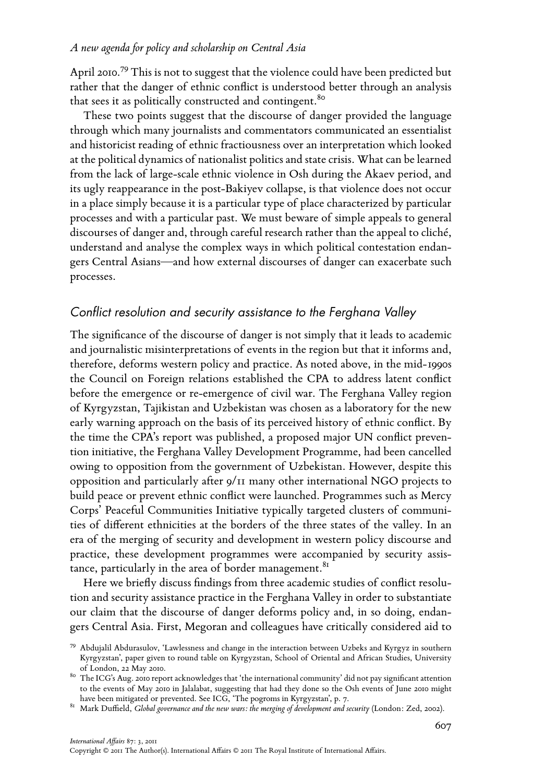April 2010.79 This is not to suggest that the violence could have been predicted but rather that the danger of ethnic conflict is understood better through an analysis that sees it as politically constructed and contingent.<sup>80</sup>

These two points suggest that the discourse of danger provided the language through which many journalists and commentators communicated an essentialist and historicist reading of ethnic fractiousness over an interpretation which looked at the political dynamics of nationalist politics and state crisis. What can be learned from the lack of large-scale ethnic violence in Osh during the Akaev period, and its ugly reappearance in the post-Bakiyev collapse, is that violence does not occur in a place simply because it is a particular type of place characterized by particular processes and with a particular past. We must beware of simple appeals to general discourses of danger and, through careful research rather than the appeal to cliché, understand and analyse the complex ways in which political contestation endangers Central Asians—and how external discourses of danger can exacerbate such processes.

# *Conflict resolution and security assistance to the Ferghana Valley*

The significance of the discourse of danger is not simply that it leads to academic and journalistic misinterpretations of events in the region but that it informs and, therefore, deforms western policy and practice. As noted above, in the mid-1990s the Council on Foreign relations established the CPA to address latent conflict before the emergence or re-emergence of civil war. The Ferghana Valley region of Kyrgyzstan, Tajikistan and Uzbekistan was chosen as a laboratory for the new early warning approach on the basis of its perceived history of ethnic conflict. By the time the CPA's report was published, a proposed major UN conflict prevention initiative, the Ferghana Valley Development Programme, had been cancelled owing to opposition from the government of Uzbekistan. However, despite this opposition and particularly after 9/11 many other international NGO projects to build peace or prevent ethnic conflict were launched. Programmes such as Mercy Corps' Peaceful Communities Initiative typically targeted clusters of communities of different ethnicities at the borders of the three states of the valley. In an era of the merging of security and development in western policy discourse and practice, these development programmes were accompanied by security assistance, particularly in the area of border management.<sup>81</sup>

Here we briefly discuss findings from three academic studies of conflict resolution and security assistance practice in the Ferghana Valley in order to substantiate our claim that the discourse of danger deforms policy and, in so doing, endangers Central Asia. First, Megoran and colleagues have critically considered aid to

<sup>79</sup> Abdujalil Abdurasulov, 'Lawlessness and change in the interaction between Uzbeks and Kyrgyz in southern Kyrgyzstan', paper given to round table on Kyrgyzstan, School of Oriental and African Studies, University

<sup>80</sup> The ICG's Aug. 2010 report acknowledges that 'the international community' did not pay significant attention to the events of May 2010 in Jalalabat, suggesting that had they done so the Osh events of June 2010 might have been mitigated or prevented. See ICG, 'The pogroms in Kyrgyzstan', p. 7.

 $81$  Mark Duffield, *Global governance and the new wars: the merging of development and security* (London: Zed, 2002).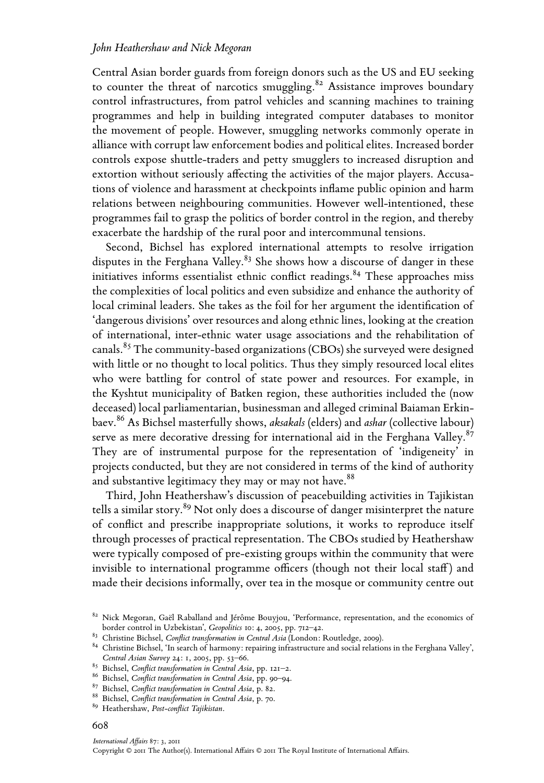Central Asian border guards from foreign donors such as the US and EU seeking to counter the threat of narcotics smuggling.<sup>82</sup> Assistance improves boundary control infrastructures, from patrol vehicles and scanning machines to training programmes and help in building integrated computer databases to monitor the movement of people. However, smuggling networks commonly operate in alliance with corrupt law enforcement bodies and political elites. Increased border controls expose shuttle-traders and petty smugglers to increased disruption and extortion without seriously affecting the activities of the major players. Accusations of violence and harassment at checkpoints inflame public opinion and harm relations between neighbouring communities. However well-intentioned, these programmes fail to grasp the politics of border control in the region, and thereby exacerbate the hardship of the rural poor and intercommunal tensions.

Second, Bichsel has explored international attempts to resolve irrigation disputes in the Ferghana Valley. $83$  She shows how a discourse of danger in these initiatives informs essentialist ethnic conflict readings.<sup>84</sup> These approaches miss the complexities of local politics and even subsidize and enhance the authority of local criminal leaders. She takes as the foil for her argument the identification of 'dangerous divisions' over resources and along ethnic lines, looking at the creation of international, inter-ethnic water usage associations and the rehabilitation of canals.<sup>85</sup> The community-based organizations (CBOs) she surveyed were designed with little or no thought to local politics. Thus they simply resourced local elites who were battling for control of state power and resources. For example, in the Kyshtut municipality of Batken region, these authorities included the (now deceased) local parliamentarian, businessman and alleged criminal Baiaman Erkinbaev.86 As Bichsel masterfully shows, *aksakals* (elders) and *ashar* (collective labour) serve as mere decorative dressing for international aid in the Ferghana Valley. $87$ They are of instrumental purpose for the representation of 'indigeneity' in projects conducted, but they are not considered in terms of the kind of authority and substantive legitimacy they may or may not have.<sup>88</sup>

Third, John Heathershaw's discussion of peacebuilding activities in Tajikistan tells a similar story.<sup>89</sup> Not only does a discourse of danger misinterpret the nature of conflict and prescribe inappropriate solutions, it works to reproduce itself through processes of practical representation. The CBOs studied by Heathershaw were typically composed of pre-existing groups within the community that were invisible to international programme officers (though not their local staff) and made their decisions informally, over tea in the mosque or community centre out

- 
- 

<sup>&</sup>lt;sup>82</sup> Nick Megoran, Gaël Raballand and Jérôme Bouyjou, 'Performance, representation, and the economics of border control in Uzbekistan', *Geopolitics* 10: 4, 2005, pp. 712–42.

<sup>&</sup>lt;sup>83</sup> Christine Bichsel, *Conflict transformation in Central Asia* (London: Routledge, 2009).<br><sup>84</sup> Christine Bichsel, 'In search of harmony: repairing infrastructure and social relations in the Ferghana Valley', Central Asian Survey 24: 1, 2005, pp. 53–66.<br>
<sup>85</sup> Bichsel, Conflict transformation in Central Asia, pp. 121–2.<br>
<sup>86</sup> Bichsel, Conflict transformation in Central Asia, pp. 90–94.<br>
<sup>87</sup> Bichsel, Conflict transformation in C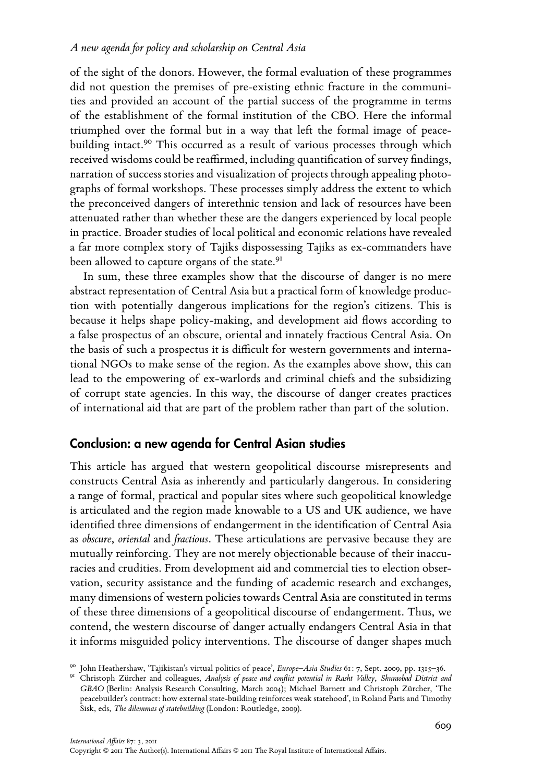of the sight of the donors. However, the formal evaluation of these programmes did not question the premises of pre-existing ethnic fracture in the communities and provided an account of the partial success of the programme in terms of the establishment of the formal institution of the CBO. Here the informal triumphed over the formal but in a way that left the formal image of peacebuilding intact.<sup>90</sup> This occurred as a result of various processes through which received wisdoms could be reaffirmed, including quantification of survey findings, narration of success stories and visualization of projects through appealing photographs of formal workshops. These processes simply address the extent to which the preconceived dangers of interethnic tension and lack of resources have been attenuated rather than whether these are the dangers experienced by local people in practice. Broader studies of local political and economic relations have revealed a far more complex story of Tajiks dispossessing Tajiks as ex-commanders have been allowed to capture organs of the state.<sup>91</sup>

In sum, these three examples show that the discourse of danger is no mere abstract representation of Central Asia but a practical form of knowledge production with potentially dangerous implications for the region's citizens. This is because it helps shape policy-making, and development aid flows according to a false prospectus of an obscure, oriental and innately fractious Central Asia. On the basis of such a prospectus it is difficult for western governments and international NGOs to make sense of the region. As the examples above show, this can lead to the empowering of ex-warlords and criminal chiefs and the subsidizing of corrupt state agencies. In this way, the discourse of danger creates practices of international aid that are part of the problem rather than part of the solution.

# Conclusion: a new agenda for Central Asian studies

This article has argued that western geopolitical discourse misrepresents and constructs Central Asia as inherently and particularly dangerous. In considering a range of formal, practical and popular sites where such geopolitical knowledge is articulated and the region made knowable to a US and UK audience, we have identified three dimensions of endangerment in the identification of Central Asia as *obscure*, *oriental* and *fractious*. These articulations are pervasive because they are mutually reinforcing. They are not merely objectionable because of their inaccuracies and crudities. From development aid and commercial ties to election observation, security assistance and the funding of academic research and exchanges, many dimensions of western policies towards Central Asia are constituted in terms of these three dimensions of a geopolitical discourse of endangerment. Thus, we contend, the western discourse of danger actually endangers Central Asia in that it informs misguided policy interventions. The discourse of danger shapes much

<sup>&</sup>lt;sup>90</sup> John Heathershaw, 'Tajikistan's virtual politics of peace', *Europe–Asia Studies* 61: 7, Sept. 2009, pp. 1315–36.<br><sup>91</sup> Christoph Zürcher and colleagues, *Analysis of peace and conflict potential in Rasht Valley, Shur GBAO* (Berlin: Analysis Research Consulting, March 2004); Michael Barnett and Christoph Zürcher, 'The peacebuilder's contract: how external state-building reinforces weak statehood', in Roland Paris and Timothy Sisk, eds, *The dilemmas of statebuilding* (London: Routledge, 2009).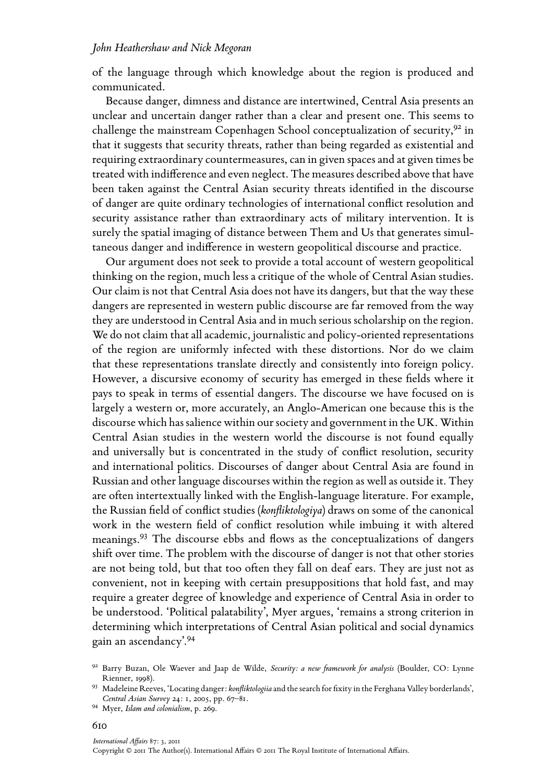of the language through which knowledge about the region is produced and communicated.

Because danger, dimness and distance are intertwined, Central Asia presents an unclear and uncertain danger rather than a clear and present one. This seems to challenge the mainstream Copenhagen School conceptualization of security, <sup>92</sup> in that it suggests that security threats, rather than being regarded as existential and requiring extraordinary countermeasures, can in given spaces and at given times be treated with indifference and even neglect. The measures described above that have been taken against the Central Asian security threats identified in the discourse of danger are quite ordinary technologies of international conflict resolution and security assistance rather than extraordinary acts of military intervention. It is surely the spatial imaging of distance between Them and Us that generates simultaneous danger and indifference in western geopolitical discourse and practice.

Our argument does not seek to provide a total account of western geopolitical thinking on the region, much less a critique of the whole of Central Asian studies. Our claim is not that Central Asia does not have its dangers, but that the way these dangers are represented in western public discourse are far removed from the way they are understood in Central Asia and in much serious scholarship on the region. We do not claim that all academic, journalistic and policy-oriented representations of the region are uniformly infected with these distortions. Nor do we claim that these representations translate directly and consistently into foreign policy. However, a discursive economy of security has emerged in these fields where it pays to speak in terms of essential dangers. The discourse we have focused on is largely a western or, more accurately, an Anglo-American one because this is the discourse which has salience within our society and government in the UK. Within Central Asian studies in the western world the discourse is not found equally and universally but is concentrated in the study of conflict resolution, security and international politics. Discourses of danger about Central Asia are found in Russian and other language discourses within the region as well as outside it. They are often intertextually linked with the English-language literature. For example, the Russian field of conflict studies (*konfliktologiya*) draws on some of the canonical work in the western field of conflict resolution while imbuing it with altered meanings.93 The discourse ebbs and flows as the conceptualizations of dangers shift over time. The problem with the discourse of danger is not that other stories are not being told, but that too often they fall on deaf ears. They are just not as convenient, not in keeping with certain presuppositions that hold fast, and may require a greater degree of knowledge and experience of Central Asia in order to be understood. 'Political palatability', Myer argues, 'remains a strong criterion in determining which interpretations of Central Asian political and social dynamics gain an ascendancy'.<sup>94</sup>

<sup>92</sup> Barry Buzan, Ole Waever and Jaap de Wilde, *Security: a new framework for analysis* (Boulder, CO: Lynne Rienner, 1998). <sup>93</sup> Madeleine Reeves, 'Locating danger: *konfliktologiia* and the search for fixity in the Ferghana Valley borderlands',

*Central Asian Survey* 24: 1, 2005, pp. 67–81. <sup>94</sup> Myer, *Islam and colonialism*, p. 269.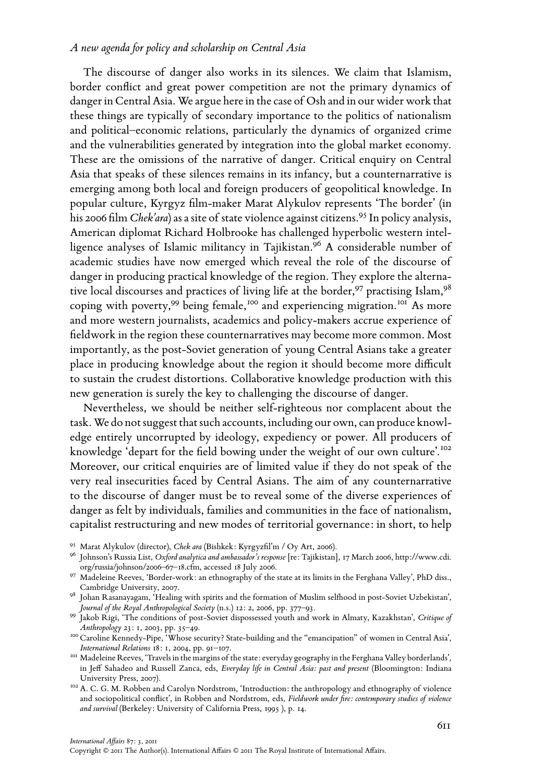#### *A new agenda for policy and scholarship on Central Asia*

The discourse of danger also works in its silences. We claim that Islamism, border conflict and great power competition are not the primary dynamics of danger in Central Asia. We argue here in the case of Osh and in our wider work that these things are typically of secondary importance to the politics of nationalism and political–economic relations, particularly the dynamics of organized crime and the vulnerabilities generated by integration into the global market economy. These are the omissions of the narrative of danger. Critical enquiry on Central Asia that speaks of these silences remains in its infancy, but a counternarrative is emerging among both local and foreign producers of geopolitical knowledge. In popular culture, Kyrgyz film-maker Marat Alykulov represents 'The border' (in his 2006 film *Chek'ara*) as a site of state violence against citizens.<sup>95</sup> In policy analysis, American diplomat Richard Holbrooke has challenged hyperbolic western intelligence analyses of Islamic militancy in Tajikistan.96 A considerable number of academic studies have now emerged which reveal the role of the discourse of danger in producing practical knowledge of the region. They explore the alternative local discourses and practices of living life at the border,  $97$  practising Islam,  $98$ coping with poverty,<sup>99</sup> being female,<sup>100</sup> and experiencing migration.<sup>101</sup> As more and more western journalists, academics and policy-makers accrue experience of fieldwork in the region these counternarratives may become more common. Most importantly, as the post-Soviet generation of young Central Asians take a greater place in producing knowledge about the region it should become more difficult to sustain the crudest distortions. Collaborative knowledge production with this new generation is surely the key to challenging the discourse of danger.

Nevertheless, we should be neither self-righteous nor complacent about the task. We do not suggest that such accounts, including our own, can produce knowledge entirely uncorrupted by ideology, expediency or power. All producers of knowledge 'depart for the field bowing under the weight of our own culture'.<sup>102</sup> Moreover, our critical enquiries are of limited value if they do not speak of the very real insecurities faced by Central Asians. The aim of any counternarrative to the discourse of danger must be to reveal some of the diverse experiences of danger as felt by individuals, families and communities in the face of nationalism, capitalist restructuring and new modes of territorial governance: in short, to help

- 
- <sup>95</sup> Marat Alykulov (director), *Chek ara* (Bishkek: Kyrgyzfil'm / Oy Art, 2006). <sup>96</sup> Johnson's Russia List, *Oxford analytica and ambassador's response* [re: Tajikistan], 17 March 2006, http://www.cdi.
- <sup>97</sup> Madeleine Reeves, 'Border-work: an ethnography of the state at its limits in the Ferghana Valley', PhD diss., Cambridge University, 2007. 2007. 2007. 2013. In the formation of Muslim selfhood in post-Soviet Uzbekistan',  $9^8$  Johan Rasanayagam, 'Healing with spirits and the formation of Muslim selfhood in post-Soviet Uzbekistan',

*Journal of the Royal Anthropological Society* (n.s.) 12: 2, 2006, pp. 377–93. <sup>99</sup> Jakob Rigi, 'The conditions of post-Soviet dispossessed youth and work in Almaty, Kazakhstan', *Critique of* 

- 
- *Anthropology* 23: 1, 2003, pp. 35–49.<br><sup>100</sup> Caroline Kennedy-Pipe, 'Whose security? State-building and the "emancipation" of women in Central Asia',<br>*International Relations* 18: 1, 2004, pp. 91–107.
- <sup>IOI</sup> Madeleine Reeves, 'Travels in the margins of the state: everyday geography in the Ferghana Valley borderlands', in Jeff Sahadeo and Russell Zanca, eds, *Everyday life in Central Asia: past and present* (Bloomington: Indiana University Press, 2007).<br><sup>102</sup> A. C. G. M. Robben and Carolyn Nordstrom, 'Introduction: the anthropology and ethnography of violence
- and sociopolitical conflict', in Robben and Nordstrom, eds, *Fieldwork under fire: contemporary studies of violence and survival* (Berkeley: University of California Press, 1995 ), p. 14.